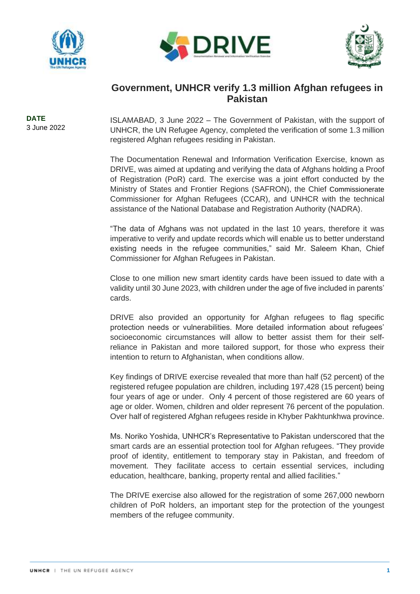





## **Government, UNHCR verify 1.3 million Afghan refugees in Pakistan**

**DATE** 3 June 2022

ISLAMABAD, 3 June 2022 – The Government of Pakistan, with the support of UNHCR, the UN Refugee Agency, completed the verification of some 1.3 million registered Afghan refugees residing in Pakistan.

The Documentation Renewal and Information Verification Exercise, known as DRIVE, was aimed at updating and verifying the data of Afghans holding a Proof of Registration (PoR) card. The exercise was a joint effort conducted by the Ministry of States and Frontier Regions (SAFRON), the Chief Commissionerate Commissioner for Afghan Refugees (CCAR), and UNHCR with the technical assistance of the National Database and Registration Authority (NADRA).

"The data of Afghans was not updated in the last 10 years, therefore it was imperative to verify and update records which will enable us to better understand existing needs in the refugee communities," said Mr. Saleem Khan, Chief Commissioner for Afghan Refugees in Pakistan.

Close to one million new smart identity cards have been issued to date with a validity until 30 June 2023, with children under the age of five included in parents' cards.

DRIVE also provided an opportunity for Afghan refugees to flag specific protection needs or vulnerabilities. More detailed information about refugees' socioeconomic circumstances will allow to better assist them for their selfreliance in Pakistan and more tailored support, for those who express their intention to return to Afghanistan, when conditions allow.

Key findings of DRIVE exercise revealed that more than half (52 percent) of the registered refugee population are children, including 197,428 (15 percent) being four years of age or under. Only 4 percent of those registered are 60 years of age or older. Women, children and older represent 76 percent of the population. Over half of registered Afghan refugees reside in Khyber Pakhtunkhwa province.

Ms. Noriko Yoshida, UNHCR's Representative to Pakistan underscored that the smart cards are an essential protection tool for Afghan refugees. "They provide proof of identity, entitlement to temporary stay in Pakistan, and freedom of movement. They facilitate access to certain essential services, including education, healthcare, banking, property rental and allied facilities."

The DRIVE exercise also allowed for the registration of some 267,000 newborn children of PoR holders, an important step for the protection of the youngest members of the refugee community.